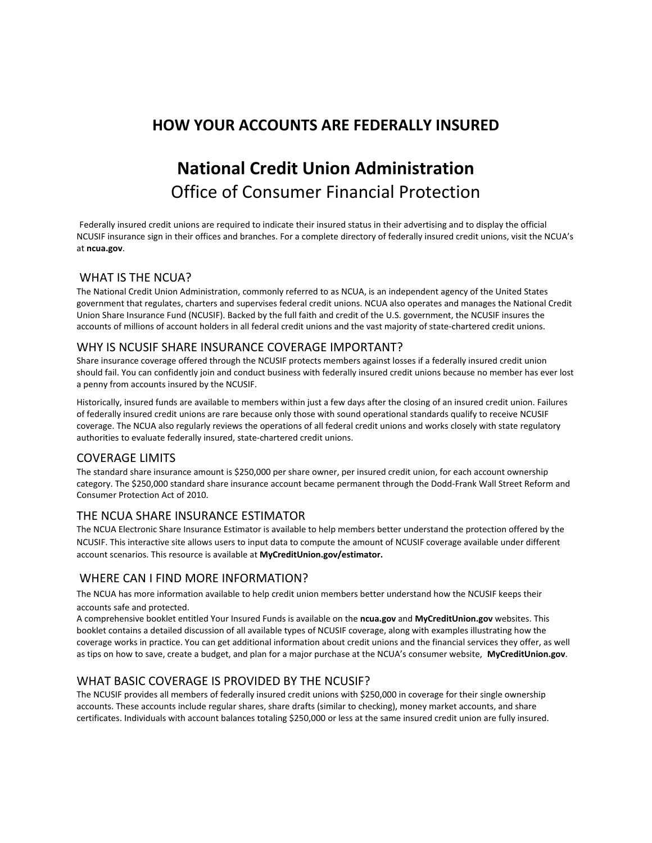## **HOW YOUR ACCOUNTS ARE FEDERALLY INSURED**

# **National Credit Union Administration** Office of Consumer Financial Protection

Federally insured credit unions are required to indicate their insured status in their advertising and to display the official NCUSIF insurance sign in their offices and branches. For a complete directory of federally insured credit unions, visit the NCUA's at **ncua.gov**.

## WHAT IS THE NCUA?

The National Credit Union Administration, commonly referred to as NCUA, is an independent agency of the United States government that regulates, charters and supervises federal credit unions. NCUA also operates and manages the National Credit Union Share Insurance Fund (NCUSIF). Backed by the full faith and credit of the U.S. government, the NCUSIF insures the accounts of millions of account holders in all federal credit unions and the vast majority of state-chartered credit unions.

### WHY IS NCUSIF SHARE INSURANCE COVERAGE IMPORTANT?

Share insurance coverage offered through the NCUSIF protects members against losses if a federally insured credit union should fail. You can confidently join and conduct business with federally insured credit unions because no member has ever lost a penny from accounts insured by the NCUSIF.

Historically, insured funds are available to members within just a few days after the closing of an insured credit union. Failures of federally insured credit unions are rare because only those with sound operational standards qualify to receive NCUSIF coverage. The NCUA also regularly reviews the operations of all federal credit unions and works closely with state regulatory authorities to evaluate federally insured, state-chartered credit unions.

### COVERAGE LIMITS

The standard share insurance amount is \$250,000 per share owner, per insured credit union, for each account ownership category. The \$250,000 standard share insurance account became permanent through the Dodd-Frank Wall Street Reform and Consumer Protection Act of 2010.

## THE NCUA SHARE INSURANCE ESTIMATOR

The NCUA Electronic Share Insurance Estimator is available to help members better understand the protection offered by the NCUSIF. This interactive site allows users to input data to compute the amount of NCUSIF coverage available under different account scenarios. This resource is available at **MyCreditUnion.gov/estimator.**

## WHERE CAN I FIND MORE INFORMATION?

The NCUA has more information available to help credit union members better understand how the NCUSIF keeps their accounts safe and protected.

A comprehensive booklet entitled Your Insured Funds is available on the **ncua.gov** and **MyCreditUnion.gov** websites. This booklet contains a detailed discussion of all available types of NCUSIF coverage, along with examples illustrating how the coverage works in practice. You can get additional information about credit unions and the financial services they offer, as well as tips on how to save, create a budget, and plan for a major purchase at the NCUA's consumer website, **MyCreditUnion.gov**.

## WHAT BASIC COVERAGE IS PROVIDED BY THE NCUSIF?

The NCUSIF provides all members of federally insured credit unions with \$250,000 in coverage for their single ownership accounts. These accounts include regular shares, share drafts (similar to checking), money market accounts, and share certificates. Individuals with account balances totaling \$250,000 or less at the same insured credit union are fully insured.